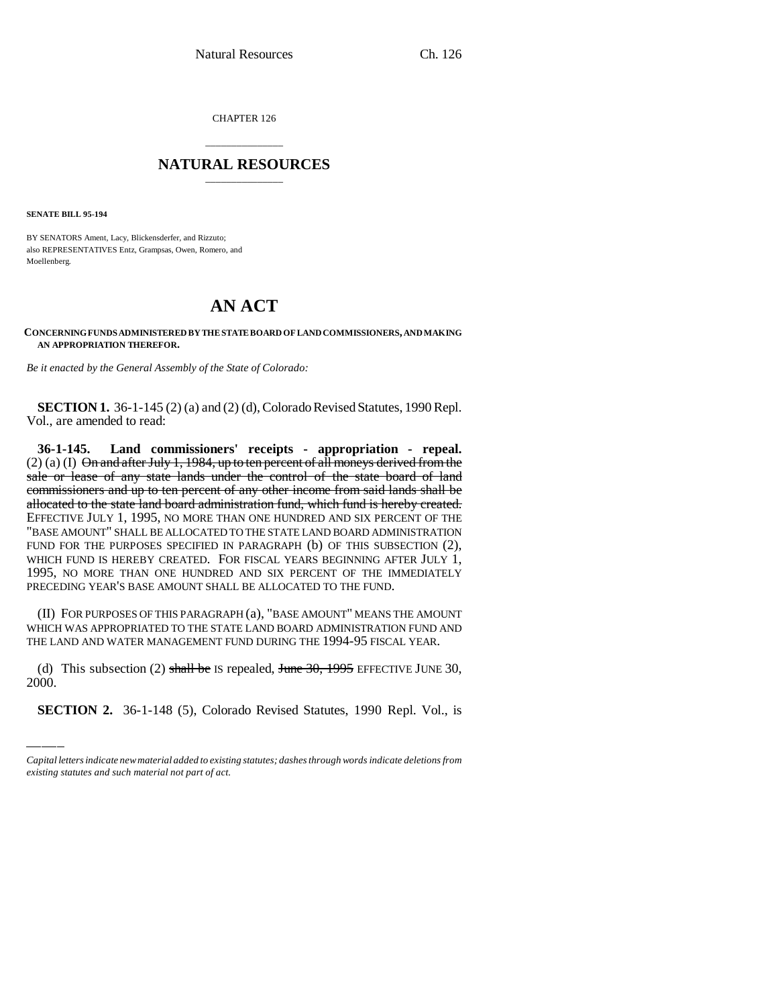CHAPTER 126

## \_\_\_\_\_\_\_\_\_\_\_\_\_\_\_ **NATURAL RESOURCES** \_\_\_\_\_\_\_\_\_\_\_\_\_\_\_

**SENATE BILL 95-194**

BY SENATORS Ament, Lacy, Blickensderfer, and Rizzuto; also REPRESENTATIVES Entz, Grampsas, Owen, Romero, and Moellenberg.

## **AN ACT**

**CONCERNING FUNDS ADMINISTERED BY THE STATE BOARD OF LAND COMMISSIONERS, AND MAKING AN APPROPRIATION THEREFOR.**

*Be it enacted by the General Assembly of the State of Colorado:*

**SECTION 1.** 36-1-145 (2) (a) and (2) (d), Colorado Revised Statutes, 1990 Repl. Vol., are amended to read:

**36-1-145. Land commissioners' receipts - appropriation - repeal.**  $(2)$  (a) (I) On and after July 1, 1984, up to ten percent of all moneys derived from the sale or lease of any state lands under the control of the state board of land commissioners and up to ten percent of any other income from said lands shall be allocated to the state land board administration fund, which fund is hereby created. EFFECTIVE JULY 1, 1995, NO MORE THAN ONE HUNDRED AND SIX PERCENT OF THE "BASE AMOUNT" SHALL BE ALLOCATED TO THE STATE LAND BOARD ADMINISTRATION FUND FOR THE PURPOSES SPECIFIED IN PARAGRAPH (b) OF THIS SUBSECTION (2), WHICH FUND IS HEREBY CREATED. FOR FISCAL YEARS BEGINNING AFTER JULY 1, 1995, NO MORE THAN ONE HUNDRED AND SIX PERCENT OF THE IMMEDIATELY PRECEDING YEAR'S BASE AMOUNT SHALL BE ALLOCATED TO THE FUND.

 $\frac{1}{100}$   $\frac{1}{100}$ (II) FOR PURPOSES OF THIS PARAGRAPH (a), "BASE AMOUNT" MEANS THE AMOUNT WHICH WAS APPROPRIATED TO THE STATE LAND BOARD ADMINISTRATION FUND AND THE LAND AND WATER MANAGEMENT FUND DURING THE 1994-95 FISCAL YEAR.

(d) This subsection (2) shall be IS repealed, June  $30$ ,  $1995$  EFFECTIVE JUNE 30, 2000.

**SECTION 2.** 36-1-148 (5), Colorado Revised Statutes, 1990 Repl. Vol., is

*Capital letters indicate new material added to existing statutes; dashes through words indicate deletions from existing statutes and such material not part of act.*